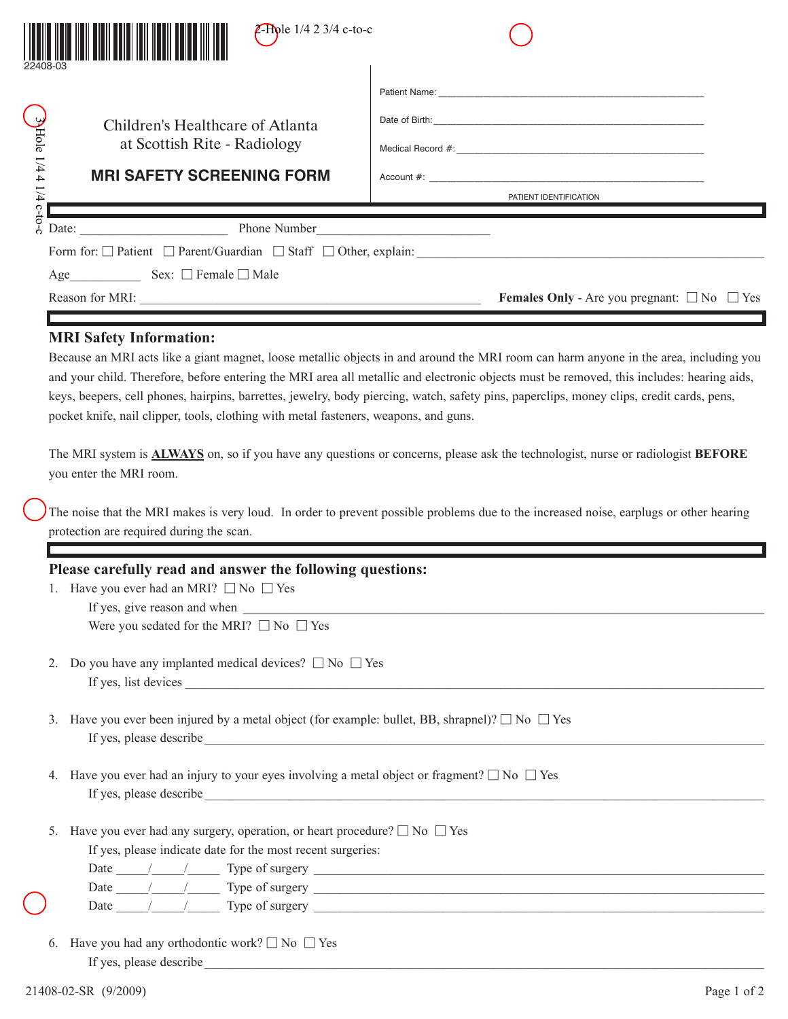| <b>Z-Role</b> $1/4$ 2 3/4 c-to-c                                                                                                                                                                                                                                                                                                                                                                                                                                                                                                                                                                         |                                                                                                                                                                                                                                                                                                                                                                                                                                                                                                                                                                                                                                                                                                                     |
|----------------------------------------------------------------------------------------------------------------------------------------------------------------------------------------------------------------------------------------------------------------------------------------------------------------------------------------------------------------------------------------------------------------------------------------------------------------------------------------------------------------------------------------------------------------------------------------------------------|---------------------------------------------------------------------------------------------------------------------------------------------------------------------------------------------------------------------------------------------------------------------------------------------------------------------------------------------------------------------------------------------------------------------------------------------------------------------------------------------------------------------------------------------------------------------------------------------------------------------------------------------------------------------------------------------------------------------|
| $3$ Hole 1/4 4 1/4 $\overline{c}$ -to-c<br>Children's Healthcare of Atlanta<br>at Scottish Rite - Radiology<br><b>MRI SAFETY SCREENING FORM</b>                                                                                                                                                                                                                                                                                                                                                                                                                                                          | PATIENT IDENTIFICATION                                                                                                                                                                                                                                                                                                                                                                                                                                                                                                                                                                                                                                                                                              |
| Reason for MRI:                                                                                                                                                                                                                                                                                                                                                                                                                                                                                                                                                                                          | Form for: □ Patient □ Parent/Guardian □ Staff □ Other, explain:<br><b>Females Only</b> - Are you pregnant: $\Box$ No $\Box$ Yes                                                                                                                                                                                                                                                                                                                                                                                                                                                                                                                                                                                     |
| <b>MRI Safety Information:</b><br>pocket knife, nail clipper, tools, clothing with metal fasteners, weapons, and guns.<br>you enter the MRI room.<br>protection are required during the scan.                                                                                                                                                                                                                                                                                                                                                                                                            | Because an MRI acts like a giant magnet, loose metallic objects in and around the MRI room can harm anyone in the area, including you<br>and your child. Therefore, before entering the MRI area all metallic and electronic objects must be removed, this includes: hearing aids,<br>keys, beepers, cell phones, hairpins, barrettes, jewelry, body piercing, watch, safety pins, paperclips, money clips, credit cards, pens,<br>The MRI system is <b>ALWAYS</b> on, so if you have any questions or concerns, please ask the technologist, nurse or radiologist BEFORE<br>The noise that the MRI makes is very loud. In order to prevent possible problems due to the increased noise, earplugs or other hearing |
| Please carefully read and answer the following questions:<br>1. Have you ever had an MRI? $\Box$ No $\Box$ Yes<br>Were you sedated for the MRI? $\Box$ No $\Box$ Yes                                                                                                                                                                                                                                                                                                                                                                                                                                     |                                                                                                                                                                                                                                                                                                                                                                                                                                                                                                                                                                                                                                                                                                                     |
| Do you have any implanted medical devices? $\square$ No $\square$ Yes<br>2.                                                                                                                                                                                                                                                                                                                                                                                                                                                                                                                              |                                                                                                                                                                                                                                                                                                                                                                                                                                                                                                                                                                                                                                                                                                                     |
| Have you ever been injured by a metal object (for example: bullet, BB, shrapnel)? $\square$ No $\square$ Yes<br>3.                                                                                                                                                                                                                                                                                                                                                                                                                                                                                       |                                                                                                                                                                                                                                                                                                                                                                                                                                                                                                                                                                                                                                                                                                                     |
| 4. Have you ever had an injury to your eyes involving a metal object or fragment? $\square$ No $\square$ Yes                                                                                                                                                                                                                                                                                                                                                                                                                                                                                             |                                                                                                                                                                                                                                                                                                                                                                                                                                                                                                                                                                                                                                                                                                                     |
| Have you ever had any surgery, operation, or heart procedure? $\square$ No $\square$ Yes<br>5 <sub>1</sub><br>If yes, please indicate date for the most recent surgeries:<br>Date $\frac{1}{\sqrt{1-\frac{1}{2}}}\frac{1}{\sqrt{1-\frac{1}{2}}}\frac{1}{\sqrt{1-\frac{1}{2}}}\frac{1}{\sqrt{1-\frac{1}{2}}}\frac{1}{\sqrt{1-\frac{1}{2}}}\frac{1}{\sqrt{1-\frac{1}{2}}}\frac{1}{\sqrt{1-\frac{1}{2}}}\frac{1}{\sqrt{1-\frac{1}{2}}}\frac{1}{\sqrt{1-\frac{1}{2}}}\frac{1}{\sqrt{1-\frac{1}{2}}}\frac{1}{\sqrt{1-\frac{1}{2}}}\frac{1}{\sqrt{1-\frac{1}{2}}}\frac{1}{\sqrt{1-\frac{1}{2}}}\frac{1}{\sqrt$ |                                                                                                                                                                                                                                                                                                                                                                                                                                                                                                                                                                                                                                                                                                                     |

Date  $\frac{1}{\sqrt{2}}$  Type of surgery Date  $\frac{1}{\sqrt{2}}$  Type of surgery  $\frac{1}{\sqrt{2}}$  and  $\frac{1}{\sqrt{2}}$  and  $\frac{1}{\sqrt{2}}$  and  $\frac{1}{\sqrt{2}}$  and  $\frac{1}{\sqrt{2}}$  and  $\frac{1}{\sqrt{2}}$  and  $\frac{1}{\sqrt{2}}$  and  $\frac{1}{\sqrt{2}}$  and  $\frac{1}{\sqrt{2}}$  and  $\frac{1}{\sqrt{2}}$  and  $\frac{1}{\sqrt{2}}$  and

6. Have you had any orthodontic work?  $\square$  No  $\square$  Yes If yes, please describe\_\_\_\_\_\_\_\_\_\_\_\_\_\_\_\_\_\_\_\_\_\_\_\_\_\_\_\_\_\_\_\_\_\_\_\_\_\_\_\_\_\_\_\_\_\_\_\_\_\_\_\_\_\_\_\_\_\_\_\_\_\_\_\_\_\_\_\_\_\_\_\_\_\_\_\_\_\_\_\_\_\_\_\_\_\_\_